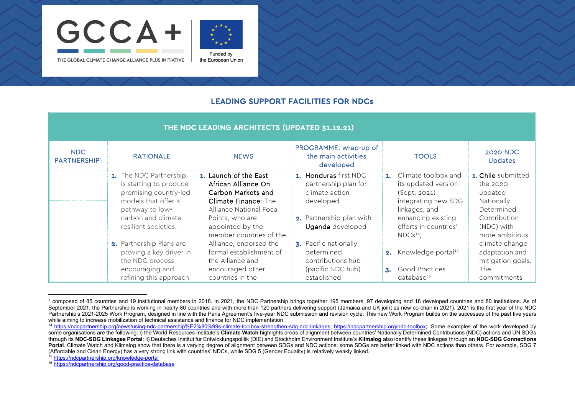

<span id="page-0-3"></span><span id="page-0-2"></span><span id="page-0-1"></span><span id="page-0-0"></span>

THE GLOBAL CLIMATE CHANGE ALLIANCE PLUS INITIATIVE

Funded by the European Union

## LEADING SUPPORT FACILITIES FOR NDCs

| THE NDC LEADING ARCHITECTS (UPDATED 31.12.21) |                                                                                                                                                                    |                                                                                                                                                                                         |                                                                                                                              |                                                                                                                                                                                 |                                                                                                                              |  |
|-----------------------------------------------|--------------------------------------------------------------------------------------------------------------------------------------------------------------------|-----------------------------------------------------------------------------------------------------------------------------------------------------------------------------------------|------------------------------------------------------------------------------------------------------------------------------|---------------------------------------------------------------------------------------------------------------------------------------------------------------------------------|------------------------------------------------------------------------------------------------------------------------------|--|
| NDC<br>PARTNERSHIP <sup>1</sup>               | <b>RATIONALE</b>                                                                                                                                                   | <b>NEWS</b>                                                                                                                                                                             | PROGRAMME: wrap-up of<br>the main activities<br>developed                                                                    | <b>TOOLS</b>                                                                                                                                                                    | <b>2020 NDC</b><br><b>Updates</b>                                                                                            |  |
|                                               | 1. The NDC Partnership<br>is starting to produce<br>promising country-led<br>models that offer a<br>pathway to low-<br>carbon and climate-<br>resilient societies. | 1. Launch of the East<br>African Alliance On<br>Carbon Markets and<br>Climate Finance: The<br>Alliance National Focal<br>Points, who are<br>appointed by the<br>member countries of the | 1. Honduras first NDC<br>partnership plan for<br>climate action<br>developed<br>2. Partnership plan with<br>Uganda developed | Climate toolbox and<br>$\mathbf{L}$<br>its updated version<br>(Sept. 2021)<br>integrating new SDG<br>linkages, and<br>enhancing existing<br>efforts in countries'<br>$NDCs14$ . | <b>1. Chile</b> submitted<br>the 2020<br>updated<br>Nationally<br>Determined<br>Contribution<br>(NDC) with<br>more ambitious |  |
|                                               | 2. Partnership Plans are<br>proving a key driver in<br>the NDC process,<br>encouraging and<br>refining this approach,                                              | Alliance, endorsed the<br>formal establishment of<br>the Alliance and<br>encouraged other<br>countries in the                                                                           | 3. Pacific nationally<br>determined<br>contributions hub<br>(pacific NDC hub)<br>established                                 | Knowledge portal <sup>15</sup><br>2.<br>Good Practices<br>$\mathbf{Z}$ .<br>database <sup>16</sup>                                                                              | climate change<br>adaptation and<br>mitigation goals.<br><b>The</b><br>commitments                                           |  |

 $1$  composed of 85 countries and 19 institutional members in 2018. In 2021, the NDC Partnership brings together 195 members, 97 developing and 18 developed countries and 80 institutions. As of September 2021, the Partnership is working in nearly 80 countries and with more than 120 partners delivering support (Jamaica and UK joint as new co-chair in 2021). 2021 is the first year of the NDC Partnership's 2021-2025 Work Program, designed in line with the Paris Agreement's five-year NDC submission and revision cycle. This new Work Program builds on the successes of the past five years while aiming to increase mobilization of technical assistance and finance for NDC implementation

<sup>14</sup> [https://ndcpartnership.org/news/using-ndc-partnership%E2%80%99s-climate-toolbox-strengthen-sdg-ndc-linkages;](https://ndcpartnership.org/news/using-ndc-partnership%E2%80%99s-climate-toolbox-strengthen-sdg-ndc-linkages) [https://ndcpartnership.org/ndc-toolbox;.](https://ndcpartnership.org/ndc-toolbox) Some examples of the work developed by some organisations are the following: i) the World Resources Institute's **Climate Watch** highlights areas of alignment between countries' Nationally Determined Contributions (NDC) actions and UN SDGs through its **NDC-SDG Linkages Portal**; ii) Deutsches Institut für Entwicklungspolitik (DIE) and Stockholm Environment Institute's **Klimalog** also identify these linkages through an **NDC-SDG Connections Portal**. Climate Watch and Klimalog show that there is a varying degree of alignment between SDGs and NDC actions; some SDGs are better linked with NDC actions than others. For example, SDG 7 (Affordable and Clean Energy) has a very strong link with countries' NDCs, while SDG 5 (Gender Equality) is relatively weakly linked.

<sup>15</sup> <https://ndcpartnership.org/knowledge-portal>

<sup>16</sup> <https://ndcpartnership.org/good-practice-database>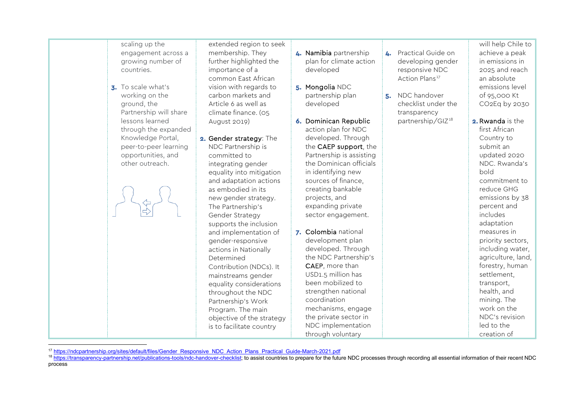scaling up the engagement across a growing number of countries.

3. To scale what's working on the ground, the Partnership will share lessons learned through the expanded Knowledge Portal, peer-to-peer learning opportunities, and other outreach.

extended region to seek membership. They further highlighted the importance of a common East African vision with regards to carbon markets and Article 6 as well as climate finance. (05 August 2019)

2. Gender strategy: The NDC Partnership is committed to integrating gender equality into mitigation and adaptation actions as embodied in its new gender strategy. The Partnership's Gender Strategy supports the inclusion and implementation of gender-responsive actions in Nationally Determined Contribution (NDCs). It mainstreams gender equality considerations throughout the NDC Partnership's Work Program. The main objective of the strategy is to facilitate country

- 4. Namibia partnership plan for climate action developed
- 5. Mongolia NDC partnership plan developed
- 6. Dominican Republic action plan for NDC developed. Through the CAEP support, the Partnership is assisting the Dominican officials in identifying new sources of finance, creating bankable projects, and expanding private sector engagement.
- 7. Colombia national development plan developed. Through the NDC Partnership's CAEP, more than USD1.5 million has been mobilized to strengthen national coordination mechanisms, engage the private sector in NDC implementation through voluntary
- <span id="page-1-1"></span><span id="page-1-0"></span>4. Practical Guide on developing gender responsive NDC Action Plans<sup>[17](#page-1-0)</sup>
- 5. NDC handover checklist under the transparency partnership/GIZ[18](#page-1-1)

will help Chile to achieve a peak in emissions in 2025 and reach an absolute emissions level of 95,000 Kt CO2Eq by 2030

2. Rwanda is the first African Country to submit an updated 2020 NDC. Rwanda's bold commitment to reduce GHG emissions by 38 percent and includes adaptation measures in priority sectors, including water, agriculture, land, forestry, human settlement, transport, health, and mining. The work on the NDC's revision led to the creation of

<sup>17</sup> [https://ndcpartnership.org/sites/default/files/Gender\\_Responsive\\_NDC\\_Action\\_Plans\\_Practical\\_Guide-March-2021.pdf](https://ndcpartnership.org/sites/default/files/Gender_Responsive_NDC_Action_Plans_Practical_Guide-March-2021.pdf)

<sup>&</sup>lt;sup>18</sup> [https://transparency-partnership.net/publications-tools/ndc-handover-checklist;](https://transparency-partnership.net/publications-tools/ndc-handover-checklist) to assist countries to prepare for the future NDC processes through recording all essential information of their recent NDC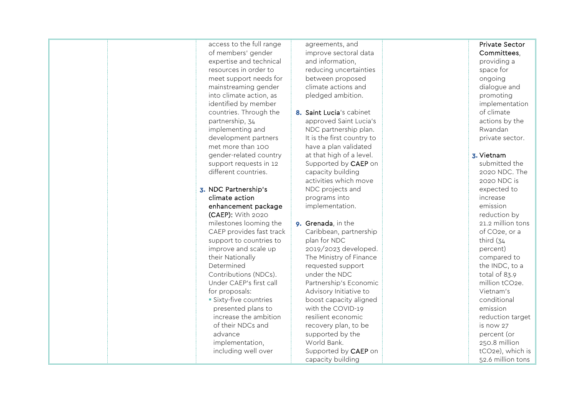access to the full range of members' gender expertise and technical resources in order to meet support needs for mainstreaming gender into climate action, as identified by member countries. Through the partnership, 34 implementing and development partners met more than 100 gender -related country support requests in 12 different countries.

3. NDC Partnership's climate action enhancement package (CAEP): With 2020 milestones looming the CAEP provides fast track support to countries to improve and scale up their Nationally Determined Contributions (NDCs). Under CAEP's first call for proposals: Sixty-five countries presented plans to increase the ambition of their NDCs and advance implementation, including well over

agreements, and improve sectoral data and information, reducing uncertainties between proposed climate actions and pledged ambition.

- 8. Saint Lucia's cabinet approved Saint Lucia's NDC partnership plan. It is the first country to have a plan validated at that high of a level. Supported by CAEP on capacity building activities which move NDC projects and programs into implementation.
- 9. Grenada, in the Caribbean, partnership plan for NDC 2019/2023 developed. The Ministry of Finance requested support under the NDC Partnership's Economic Advisory Initiative to boost capacity aligned with the COVID -19 resilient economic recovery plan, to be supported by the World Bank. Supported by CAEP on capacity building

#### Private Sector Committees,

providing a space for ongoing dialogue and promoting implementation of climate actions by the Rwandan private sector.

#### 3. Vietnam

submitted the 2020 NDC. The 2020 NDC is expected to increase emission reduction by 21.2 million tons of CO2e, or a third (34 percent) compared to the INDC, to a total of 83.9 million tCO2e. Vietnam's conditional emission reduction target is now 27 percent (or 250.8 million tCO2e), which is 52.6 million tons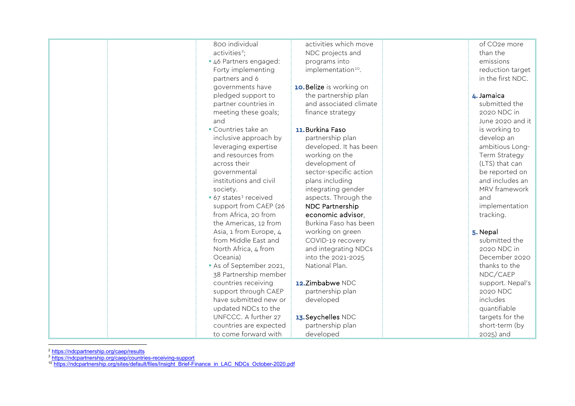<span id="page-3-2"></span><span id="page-3-1"></span><span id="page-3-0"></span>

| 800 individual                    | activities which move           | of CO <sub>2</sub> e more |
|-----------------------------------|---------------------------------|---------------------------|
| activities <sup>2</sup> ;         | NDC projects and                | than the                  |
| 46 Partners engaged:              | programs into                   | emissions                 |
| Forty implementing                | implementation <sup>10</sup> .  | reduction target          |
| partners and 6                    |                                 | in the first NDC.         |
| governments have                  | <b>10. Belize</b> is working on |                           |
| pledged support to                | the partnership plan            | 4. Jamaica                |
| partner countries in              | and associated climate          | submitted the             |
| meeting these goals;              | finance strategy                | 2020 NDC in               |
| and                               |                                 | June 2020 and it          |
| • Countries take an               | 11. Burkina Faso                | is working to             |
| inclusive approach by             | partnership plan                | develop an                |
| leveraging expertise              | developed. It has been          | ambitious Long-           |
| and resources from                | working on the                  | Term Strategy             |
| across their                      | development of                  | (LTS) that can            |
| governmental                      | sector-specific action          | be reported on            |
| institutions and civil            | plans including                 | and includes an           |
| society.                          | integrating gender              | MRV framework             |
| • 67 states <sup>3</sup> received | aspects. Through the            | and                       |
| support from CAEP (26             | NDC Partnership                 | implementation            |
| from Africa, 20 from              | economic advisor,               | tracking.                 |
| the Americas, 12 from             | Burkina Faso has been           |                           |
| Asia, 1 from Europe, 4            | working on green                | 5. Nepal                  |
| from Middle East and              | COVID-19 recovery               | submitted the             |
| North Africa, 4 from              | and integrating NDCs            | 2020 NDC in               |
| Oceania)                          | into the 2021-2025              | December 2020             |
| As of September 2021,             | National Plan.                  | thanks to the             |
| 38 Partnership member             |                                 | NDC/CAEP                  |
| countries receiving               | 12. Zimbabwe NDC                | support. Nepal's          |
| support through CAEP              | partnership plan                | 2020 NDC                  |
| have submitted new or             | developed                       | includes                  |
| updated NDCs to the               |                                 | quantifiable              |
| UNFCCC. A further 27              | 13. Seychelles NDC              | targets for the           |
| countries are expected            | partnership plan                | short-term (by            |
| to come forward with              | developed                       | 2025) and                 |

<sup>2</sup> <https://ndcpartnership.org/caep/results>

<sup>3</sup> <https://ndcpartnership.org/caep/countries-receiving-support>

<sup>10</sup> [https://ndcpartnership.org/sites/default/files/Insight\\_Brief-Finance\\_in\\_LAC\\_NDCs\\_October-2020.pdf](https://ndcpartnership.org/sites/default/files/Insight_Brief-Finance_in_LAC_NDCs_October-2020.pdf)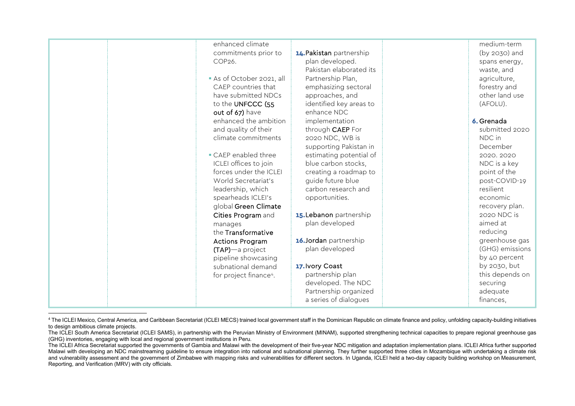<span id="page-4-0"></span>

| enhanced climate                   |                          | medium-term     |
|------------------------------------|--------------------------|-----------------|
| commitments prior to               | 14. Pakistan partnership | (by 2030) and   |
| COP26.                             | plan developed.          | spans energy,   |
|                                    | Pakistan elaborated its  | waste, and      |
| As of October 2021, all            | Partnership Plan,        | agriculture,    |
| CAEP countries that                | emphasizing sectoral     | forestry and    |
| have submitted NDCs                | approaches, and          | other land use  |
| to the UNFCCC (55                  | identified key areas to  | (AFOLU).        |
| out of 67) have                    | enhance NDC              |                 |
| enhanced the ambition              | implementation           | 6. Grenada      |
| and quality of their               | through CAEP For         | submitted 2020  |
| climate commitments                | 2020 NDC, WB is          | NDC in          |
|                                    | supporting Pakistan in   | December        |
| CAEP enabled three                 | estimating potential of  | 2020.2020       |
| ICLEI offices to join              | blue carbon stocks,      | NDC is a key    |
| forces under the ICLEI             | creating a roadmap to    | point of the    |
| World Secretariat's                | guide future blue        | post-COVID-19   |
| leadership, which                  | carbon research and      | resilient       |
| spearheads ICLEI's                 | opportunities.           | economic        |
| global Green Climate               |                          | recovery plan.  |
| Cities Program and                 | 15. Lebanon partnership  | 2020 NDC is     |
| manages                            | plan developed           | aimed at        |
| the Transformative                 |                          | reducing        |
| <b>Actions Program</b>             | 16. Jordan partnership   | greenhouse gas  |
| (TAP)-a project                    | plan developed           | (GHG) emissions |
| pipeline showcasing                |                          | by 40 percent   |
| subnational demand                 | 17. Ivory Coast          | by 2030, but    |
| for project finance <sup>4</sup> . | partnership plan         | this depends on |
|                                    | developed. The NDC       | securing        |
|                                    | Partnership organized    | adequate        |
|                                    | a series of dialogues    | finances,       |
|                                    |                          |                 |

<sup>&</sup>lt;sup>4</sup> The ICLEI Mexico, Central America, and Caribbean Secretariat (ICLEI MECS) trained local government staff in the Dominican Republic on climate finance and policy, unfolding capacity-building initiatives to design ambitious climate projects.

The ICLEI South America Secretariat (ICLEI SAMS), in partnership with the Peruvian Ministry of Environment (MINAM), supported strengthening technical capacities to prepare regional greenhouse gas (GHG) inventories, engaging with local and regional government institutions in Peru.

The ICLEI Africa Secretariat supported the governments of Gambia and Malawi with the development of their five-year NDC mitigation and adaptation implementation plans. ICLEI Africa further supported Malawi with developing an NDC mainstreaming guideline to ensure integration into national and subnational planning. They further supported three cities in Mozambique with undertaking a climate risk and vulnerability assessment and the government of Zimbabwe with mapping risks and vulnerabilities for different sectors. In Uganda, ICLEI held a two-day capacity building workshop on Measurement, Reporting, and Verification (MRV) with city officials.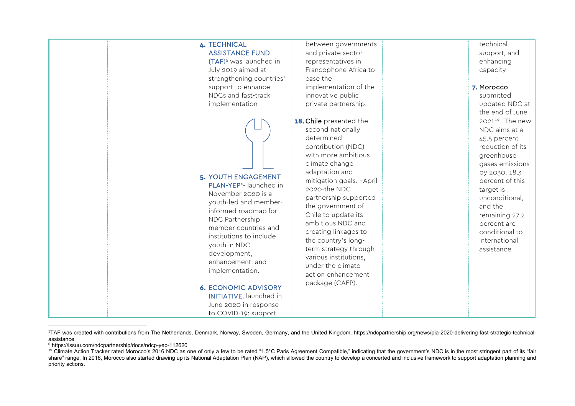<span id="page-5-2"></span><span id="page-5-1"></span><span id="page-5-0"></span>

<sup>5</sup> TAF was created with contributions from The Netherlands, Denmark, Norway, Sweden, Germany, and the United Kingdom. https://ndcpartnership.org/news/pia-2020-delivering-fast-strategic-technicalassistance

<sup>6</sup> https://issuu.com/ndcpartnership/docs/ndcp-yep-112620

<sup>&</sup>lt;sup>19</sup> Climate Action Tracker rated Morocco's 2016 NDC as one of only a few to be rated "1.5°C Paris Agreement Compatible," indicating that the government's NDC is in the most stringent part of its "fair share" range. In 2016, Morocco also started drawing up its National Adaptation Plan (NAP), which allowed the country to develop a concerted and inclusive framework to support adaptation planning and priority actions.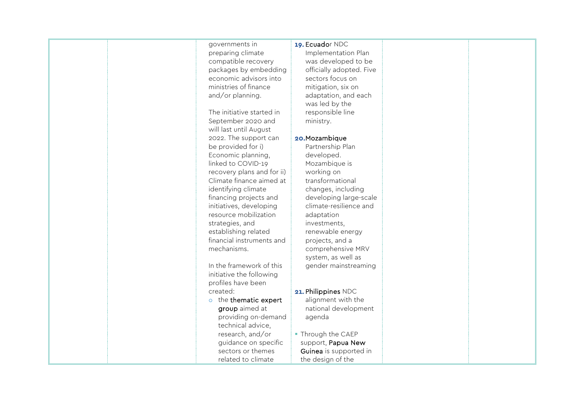| governments in             | 19. Ecuador NDC          |  |
|----------------------------|--------------------------|--|
| preparing climate          | Implementation Plan      |  |
| compatible recovery        | was developed to be      |  |
| packages by embedding      | officially adopted. Five |  |
| economic advisors into     | sectors focus on         |  |
| ministries of finance      | mitigation, six on       |  |
| and/or planning.           | adaptation, and each     |  |
|                            | was led by the           |  |
| The initiative started in  | responsible line         |  |
| September 2020 and         | ministry.                |  |
| will last until August     |                          |  |
| 2022. The support can      | 20. Mozambique           |  |
| be provided for i)         | Partnership Plan         |  |
| Economic planning,         | developed.               |  |
| linked to COVID-19         | Mozambique is            |  |
| recovery plans and for ii) | working on               |  |
| Climate finance aimed at   | transformational         |  |
| identifying climate        | changes, including       |  |
| financing projects and     | developing large-scale   |  |
| initiatives, developing    | climate-resilience and   |  |
| resource mobilization      | adaptation               |  |
| strategies, and            | investments,             |  |
| establishing related       | renewable energy         |  |
| financial instruments and  | projects, and a          |  |
| mechanisms.                | comprehensive MRV        |  |
|                            | system, as well as       |  |
| In the framework of this   | gender mainstreaming     |  |
| initiative the following   |                          |  |
| profiles have been         |                          |  |
| created:                   | 21. Philippines NDC      |  |
| o the thematic expert      | alignment with the       |  |
| group aimed at             | national development     |  |
| providing on-demand        | agenda                   |  |
| technical advice,          |                          |  |
| research, and/or           | • Through the CAEP       |  |
| guidance on specific       | support, Papua New       |  |
| sectors or themes          | Guinea is supported in   |  |
| related to climate         | the design of the        |  |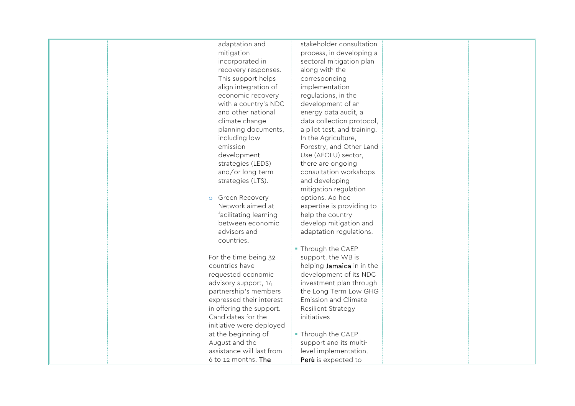adaptation and mitigation incorporated in recovery responses. This support helps align integration of economic recovery with a country's NDC and other national climate change planning documents, including lowemission development strategies (LEDS) and/or long-term strategies (LTS). o Green Recovery Network aimed at facilitating learning between economic advisors and countries. For the time being 32 countries have requested economic advisory support, 14 partnership's members expressed their interest in offering the support. Candidates for the initiative were deployed at the beginning of August and the assistance will last from 6 to 12 months. The stakeholder consultation process, in developing a sectoral mitigation plan along with the corresponding implementation regulations, in the development of an energy data audit, a data collection protocol, a pilot test, and training. In the Agriculture, Forestry, and Other Land Use (AFOLU) sector, there are ongoing consultation workshops and developing mitigation regulation options. Ad hoc expertise is providing to help the country develop mitigation and adaptation regulations. **Through the CAEP** support, the WB is helping Jamaica in in the development of its NDC investment plan through the Long Term Low GHG Emission and Climate Resilient Strategy initiatives Through the CAEP support and its multilevel implementation, Per**ù** is expected to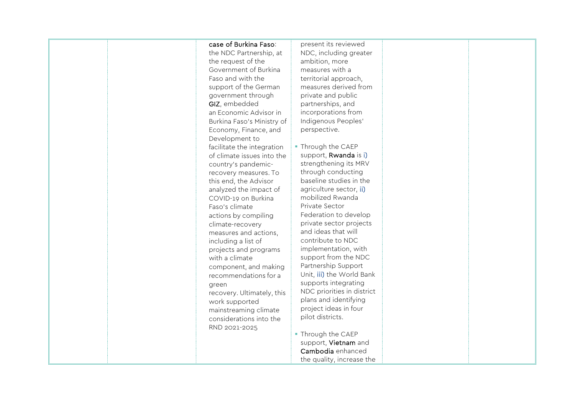#### case of Burkina Faso:

the NDC Partnership, at the request of the Government of Burkina Faso and with the support of the German government through GIZ, embedded an Economic Advisor in Burkina Faso's Ministry of Economy, Finance, and Development to facilitate the integration of climate issues into the country's pandemicrecovery measures. To this end, the Advisor analyzed the impact of COVID-19 on Burkina Faso's climate actions by compiling climate-recovery measures and actions, including a list of projects and programs with a climate component, and making recommendations for a green recovery. Ultimately, this work supported mainstreaming climate considerations into the RND 2021-2025

present its reviewed NDC, including greater ambition, more measures with a territorial approach, measures derived from private and public partnerships, and incorporations from Indigenous Peoples' perspective.

- **Through the CAEP** support, Rwanda is i) strengthening its MRV through conducting baseline studies in the agriculture sector, ii) mobilized Rwanda Private Sector Federation to develop private sector projects and ideas that will contribute to NDC implementation, with support from the NDC Partnership Support Unit, iii) the World Bank supports integrating NDC priorities in district plans and identifying project ideas in four pilot districts.
- Through the CAEP support, Vietnam and Cambodia enhanced the quality, increase the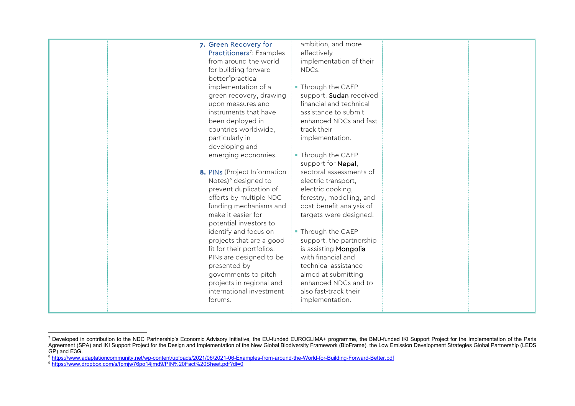<span id="page-9-2"></span><span id="page-9-1"></span><span id="page-9-0"></span>

| 7. Green Recovery for<br>Practitioners <sup>7</sup> : Examples<br>from around the world                                                                                                                   | ambition, and more<br>effectively<br>implementation of their                                                                                                                                  |  |
|-----------------------------------------------------------------------------------------------------------------------------------------------------------------------------------------------------------|-----------------------------------------------------------------------------------------------------------------------------------------------------------------------------------------------|--|
| for building forward<br>better <sup>8</sup> practical                                                                                                                                                     | NDCs.                                                                                                                                                                                         |  |
| implementation of a<br>green recovery, drawing<br>upon measures and                                                                                                                                       | • Through the CAEP<br>support, Sudan received<br>financial and technical                                                                                                                      |  |
| instruments that have<br>been deployed in<br>countries worldwide,<br>particularly in                                                                                                                      | assistance to submit<br>enhanced NDCs and fast<br>track their<br>implementation.                                                                                                              |  |
| developing and<br>emerging economies.                                                                                                                                                                     | • Through the CAEP<br>support for Nepal,                                                                                                                                                      |  |
| 8. PINs (Project Information<br>Notes) <sup>9</sup> designed to<br>prevent duplication of<br>efforts by multiple NDC<br>funding mechanisms and<br>make it easier for<br>potential investors to            | sectoral assessments of<br>electric transport,<br>electric cooking,<br>forestry, modelling, and<br>cost-benefit analysis of<br>targets were designed.                                         |  |
| identify and focus on<br>projects that are a good<br>fit for their portfolios.<br>PINs are designed to be<br>presented by<br>governments to pitch<br>projects in regional and<br>international investment | • Through the CAEP<br>support, the partnership<br>is assisting Mongolia<br>with financial and<br>technical assistance<br>aimed at submitting<br>enhanced NDCs and to<br>also fast-track their |  |
| forums.                                                                                                                                                                                                   | implementation.                                                                                                                                                                               |  |

 $^7$  Developed in contribution to the NDC Partnership's Economic Advisory Initiative, the EU-funded EUROCLIMA+ programme, the BMU-funded IKI Support Project for the Implementation of the Paris Agreement (SPA) and IKI Support Project for the Design and Implementation of the New Global Biodiversity Framework (BioFrame), the Low Emission Development Strategies Global Partnership (LEDS GP) and E3G.

<sup>8</sup> <https://www.adaptationcommunity.net/wp-content/uploads/2021/06/2021-06-Examples-from-around-the-World-for-Building-Forward-Better.pdf>

<sup>9</sup> <https://www.dropbox.com/s/fpmjw76po14jmd9/PIN%20Fact%20Sheet.pdf?dl=0>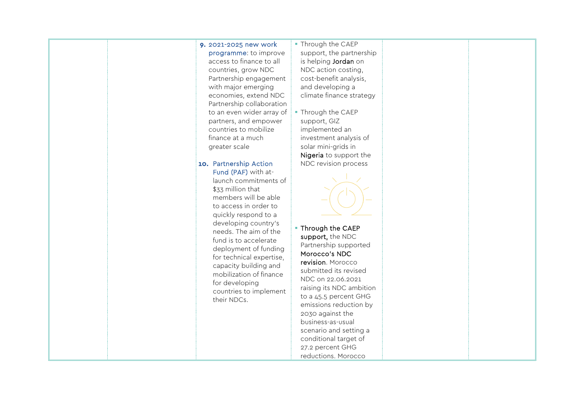#### 9. 2021-2025 new work programme: to improve access to finance to all countries, grow NDC Partnership engagement with major emerging economies, extend NDC Partnership collaboration to an even wider array of partners, and empower countries to mobilize finance at a much greater scale

10. Partnership Action Fund (PAF) with atlaunch commitments of \$33 million that members will be able to access in order to quickly respond to a developing country's needs. The aim of the fund is to accelerate deployment of funding for technical expertise, capacity building and mobilization of finance for developing countries to implement their NDCs.

### **Through the CAEP** support, the partnership is helping Jordan on NDC action costing, cost-benefit analysis, and developing a climate finance strategy

**Through the CAEP** support, GIZ implemented an investment analysis of solar mini-grids in Nigeria to support the NDC revision process



**Through the CAEP** support, the NDC Partnership supported Morocco's NDC revision. Morocco submitted its revised NDC on 22.06.2021 raising its NDC ambition to a 45.5 percent GHG emissions reduction by 2030 against the business-as-usual scenario and setting a conditional target of 27.2 percent GHG reductions. Morocco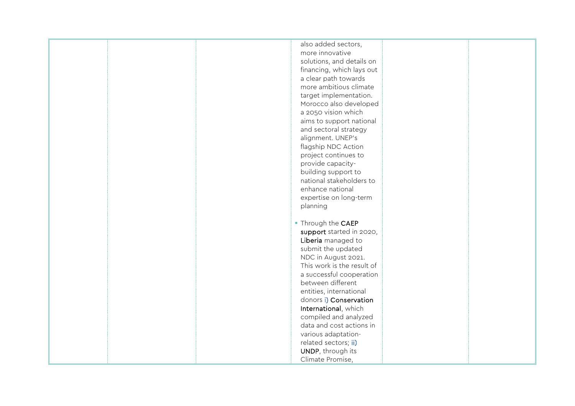| also added sectors,        |
|----------------------------|
| more innovative            |
| solutions, and details on  |
| financing, which lays out  |
| a clear path towards       |
| more ambitious climate     |
| target implementation.     |
|                            |
| Morocco also developed     |
| a 2050 vision which        |
| aims to support national   |
| and sectoral strategy      |
| alignment. UNEP's          |
| flagship NDC Action        |
| project continues to       |
| provide capacity-          |
| building support to        |
| national stakeholders to   |
| enhance national           |
| expertise on long-term     |
| planning                   |
|                            |
|                            |
| • Through the CAEP         |
| support started in 2020,   |
| Liberia managed to         |
| submit the updated         |
| NDC in August 2021.        |
| This work is the result of |
| a successful cooperation   |
| between different          |
| entities, international    |
| donors i) Conservation     |
| International, which       |
| compiled and analyzed      |
| data and cost actions in   |
| various adaptation-        |
|                            |
| related sectors; ii)       |
| UNDP, through its          |
| Climate Promise,           |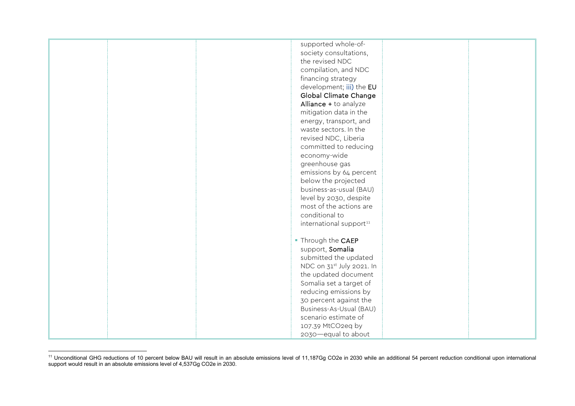<span id="page-12-0"></span>

| supported whole-of-                   |  |
|---------------------------------------|--|
| society consultations,                |  |
| the revised NDC                       |  |
| compilation, and NDC                  |  |
| financing strategy                    |  |
| development; iii) the EU              |  |
| Global Climate Change                 |  |
| Alliance + to analyze                 |  |
| mitigation data in the                |  |
|                                       |  |
| energy, transport, and                |  |
| waste sectors. In the                 |  |
| revised NDC, Liberia                  |  |
| committed to reducing                 |  |
| economy-wide                          |  |
| greenhouse gas                        |  |
| emissions by 64 percent               |  |
| below the projected                   |  |
| business-as-usual (BAU)               |  |
| level by 2030, despite                |  |
| most of the actions are               |  |
| conditional to                        |  |
| international support <sup>11</sup>   |  |
|                                       |  |
| • Through the CAEP                    |  |
| support, Somalia                      |  |
| submitted the updated                 |  |
| NDC on 31 <sup>st</sup> July 2021. In |  |
| the updated document                  |  |
| Somalia set a target of               |  |
| reducing emissions by                 |  |
| 30 percent against the                |  |
| Business-As-Usual (BAU)               |  |
| scenario estimate of                  |  |
|                                       |  |
| 107.39 MtCO2eq by                     |  |
| 2030 equal to about                   |  |

<sup>&</sup>lt;sup>11</sup> Unconditional GHG reductions of 10 percent below BAU will result in an absolute emissions level of 11,187Gg CO2e in 2030 while an additional 54 percent reduction conditional upon international support would result in an absolute emissions level of 4,537Gg CO2e in 2030.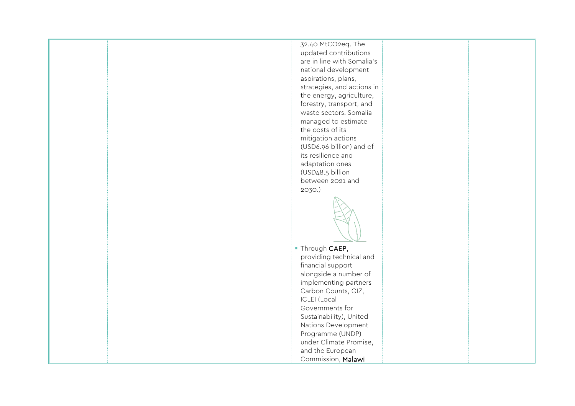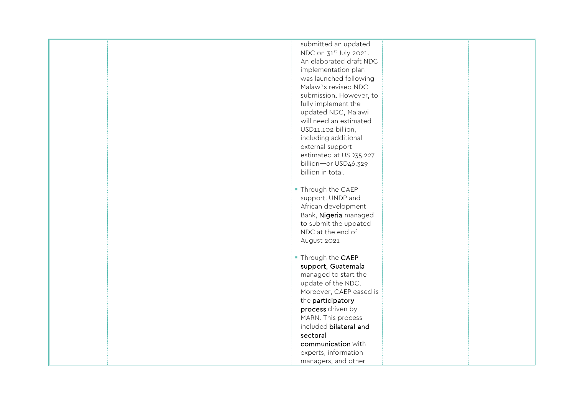| submitted an updated               |
|------------------------------------|
| NDC on 31 <sup>st</sup> July 2021. |
| An elaborated draft NDC            |
| implementation plan                |
| was launched following             |
| Malawi's revised NDC               |
| submission. However, to            |
| fully implement the                |
| updated NDC, Malawi                |
| will need an estimated             |
| USD11.102 billion,                 |
| including additional               |
| external support                   |
| estimated at USD35.227             |
| billion-or USD46.329               |
| billion in total.                  |
|                                    |
| • Through the CAEP                 |
| support, UNDP and                  |
| African development                |
| Bank, Nigeria managed              |
| to submit the updated              |
| NDC at the end of                  |
| August 2021                        |
|                                    |
| • Through the CAEP                 |
| support, Guatemala                 |
| managed to start the               |
| update of the NDC.                 |
| Moreover, CAEP eased is            |
| the participatory                  |
| process driven by                  |
| MARN. This process                 |
| included bilateral and             |
| sectoral                           |
| communication with                 |
| experts, information               |
| managers, and other                |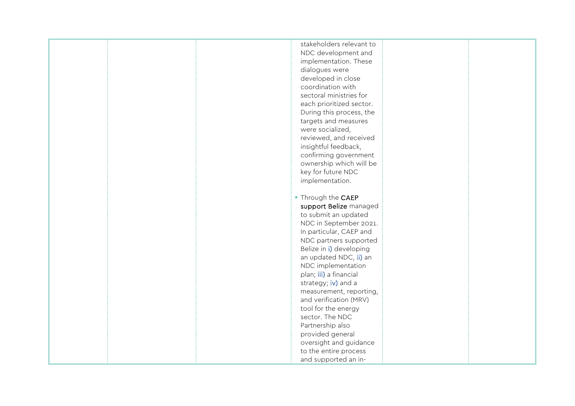|  | stakeholders relevant to |  |
|--|--------------------------|--|
|  | NDC development and      |  |
|  | implementation. These    |  |
|  | dialogues were           |  |
|  | developed in close       |  |
|  | coordination with        |  |
|  | sectoral ministries for  |  |
|  | each prioritized sector. |  |
|  | During this process, the |  |
|  | targets and measures     |  |
|  | were socialized,         |  |
|  | reviewed, and received   |  |
|  | insightful feedback,     |  |
|  | confirming government    |  |
|  | ownership which will be  |  |
|  | key for future NDC       |  |
|  | implementation.          |  |
|  |                          |  |
|  | • Through the CAEP       |  |
|  | support Belize managed   |  |
|  | to submit an updated     |  |
|  | NDC in September 2021.   |  |
|  | In particular, CAEP and  |  |
|  | NDC partners supported   |  |
|  | Belize in i) developing  |  |
|  | an updated NDC, ii) an   |  |
|  | NDC implementation       |  |
|  | plan; iii) a financial   |  |
|  | strategy; iv) and a      |  |
|  | measurement, reporting,  |  |
|  | and verification (MRV)   |  |
|  | tool for the energy      |  |
|  | sector. The NDC          |  |
|  | Partnership also         |  |
|  | provided general         |  |
|  | oversight and guidance   |  |
|  | to the entire process    |  |
|  | and supported an in-     |  |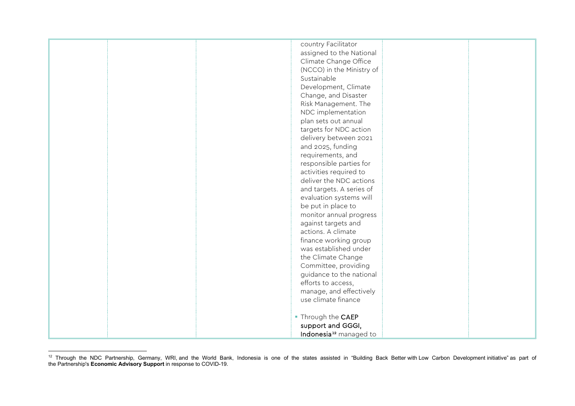<span id="page-16-0"></span>

| country Facilitator                |
|------------------------------------|
|                                    |
| assigned to the National           |
| Climate Change Office              |
| (NCCO) in the Ministry of          |
| Sustainable                        |
| Development, Climate               |
| Change, and Disaster               |
|                                    |
| Risk Management. The               |
| NDC implementation                 |
| plan sets out annual               |
| targets for NDC action             |
| delivery between 2021              |
| and 2025, funding                  |
| requirements, and                  |
| responsible parties for            |
| activities required to             |
| deliver the NDC actions            |
|                                    |
| and targets. A series of           |
| evaluation systems will            |
| be put in place to                 |
| monitor annual progress            |
| against targets and                |
| actions. A climate                 |
| finance working group              |
| was established under              |
| the Climate Change                 |
| Committee, providing               |
| guidance to the national           |
| efforts to access,                 |
|                                    |
| manage, and effectively            |
| use climate finance                |
|                                    |
| • Through the CAEP                 |
| support and GGGI,                  |
| Indonesia <sup>12</sup> managed to |

<sup>&</sup>lt;sup>12</sup> Through the NDC Partnership, Germany, WRI, and the World Bank, Indonesia is one of the states assisted in "Building Back Better with Low Carbon Development initiative" as part of the Partnership's **Economic Advisory Support** in response to COVID-19.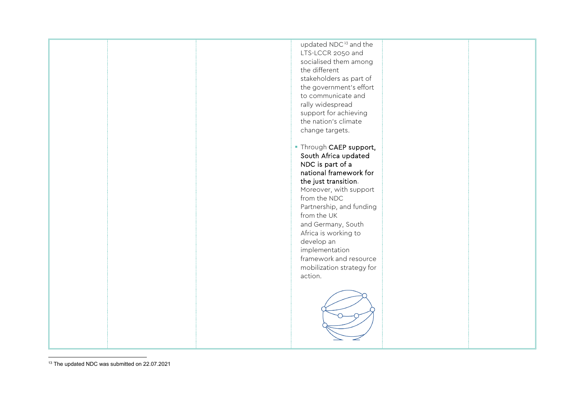<span id="page-17-0"></span>

<sup>&</sup>lt;sup>13</sup> The updated NDC was submitted on 22.07.2021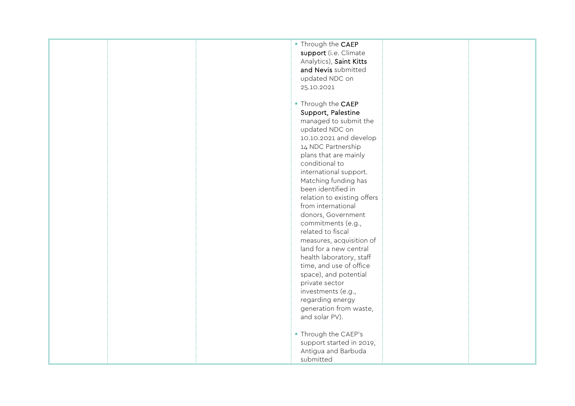| . Through the CAEP          |
|-----------------------------|
| support (i.e. Climate       |
| Analytics), Saint Kitts     |
| and Nevis submitted         |
| updated NDC on              |
|                             |
| 25.10.2021                  |
|                             |
| • Through the CAEP          |
| Support, Palestine          |
| managed to submit the       |
| updated NDC on              |
| 10.10.2021 and develop      |
| 14 NDC Partnership          |
| plans that are mainly       |
| conditional to              |
| international support.      |
|                             |
| Matching funding has        |
| been identified in          |
| relation to existing offers |
| from international          |
| donors, Government          |
| commitments (e.g.,          |
| related to fiscal           |
| measures, acquisition of    |
| land for a new central      |
| health laboratory, staff    |
| time, and use of office     |
| space), and potential       |
| private sector              |
|                             |
| investments (e.g.,          |
| regarding energy            |
| generation from waste,      |
| and solar PV).              |
|                             |
| - Through the CAEP's        |
| support started in 2019,    |
| Antigua and Barbuda         |
| submitted                   |
|                             |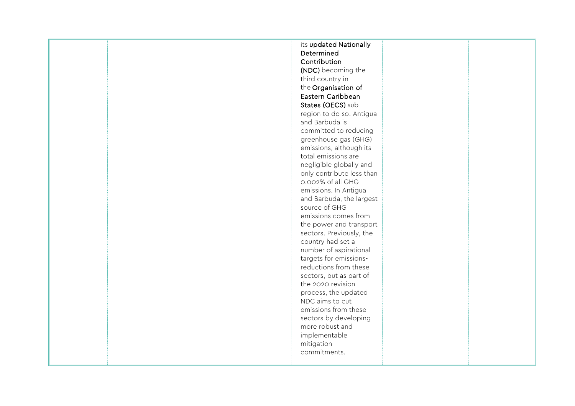|  | its updated Nationally<br>Determined<br>Contribution<br>(NDC) becoming the<br>third country in<br>the Organisation of<br>Eastern Caribbean<br>States (OECS) sub-<br>region to do so. Antigua<br>and Barbuda is<br>committed to reducing<br>greenhouse gas (GHG)<br>emissions, although its<br>total emissions are<br>negligible globally and<br>only contribute less than<br>0.002% of all GHG<br>emissions. In Antigua<br>and Barbuda, the largest<br>source of GHG<br>emissions comes from<br>the power and transport<br>sectors. Previously, the<br>country had set a<br>number of aspirational<br>targets for emissions-<br>reductions from these<br>sectors, but as part of<br>the 2020 revision<br>process, the updated<br>NDC aims to cut<br>emissions from these<br>sectors by developing<br>more robust and |  |
|--|----------------------------------------------------------------------------------------------------------------------------------------------------------------------------------------------------------------------------------------------------------------------------------------------------------------------------------------------------------------------------------------------------------------------------------------------------------------------------------------------------------------------------------------------------------------------------------------------------------------------------------------------------------------------------------------------------------------------------------------------------------------------------------------------------------------------|--|
|  | implementable<br>mitigation<br>commitments.                                                                                                                                                                                                                                                                                                                                                                                                                                                                                                                                                                                                                                                                                                                                                                          |  |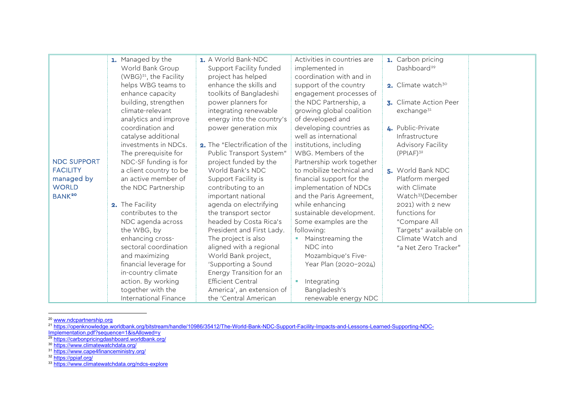<span id="page-20-6"></span><span id="page-20-5"></span><span id="page-20-4"></span><span id="page-20-3"></span><span id="page-20-2"></span><span id="page-20-1"></span><span id="page-20-0"></span>

|                    | 1. Managed by the                  | 1. A World Bank-NDC            | Activities in countries are | 1. Carbon pricing             |
|--------------------|------------------------------------|--------------------------------|-----------------------------|-------------------------------|
|                    | World Bank Group                   | Support Facility funded        | implemented in              | Dashboard <sup>29</sup>       |
|                    | (WBG) <sup>21</sup> , the Facility | project has helped             | coordination with and in    |                               |
|                    | helps WBG teams to                 | enhance the skills and         | support of the country      | 2. Climate watch $30^\circ$   |
|                    | enhance capacity                   | toolkits of Bangladeshi        | engagement processes of     |                               |
|                    | building, strengthen               | power planners for             | the NDC Partnership, a      | 3. Climate Action Peer        |
|                    | climate-relevant                   | integrating renewable          | growing global coalition    | exchange <sup>31</sup>        |
|                    | analytics and improve              | energy into the country's      | of developed and            |                               |
|                    | coordination and                   | power generation mix           | developing countries as     | <b>4.</b> Public-Private      |
|                    | catalyse additional                |                                | well as international       | Infrastructure                |
|                    | investments in NDCs.               | 2. The "Electrification of the | institutions, including     | Advisory Facility             |
|                    | The prerequisite for               | Public Transport System"       | WBG. Members of the         | $(PPIAF)^{32}$                |
| <b>NDC SUPPORT</b> | NDC-SF funding is for              | project funded by the          | Partnership work together   |                               |
| <b>FACILITY</b>    | a client country to be             | World Bank's NDC               | to mobilize technical and   | 5. World Bank NDC             |
| managed by         | an active member of                | Support Facility is            | financial support for the   | Platform merged               |
| <b>WORLD</b>       | the NDC Partnership                | contributing to an             | implementation of NDCs      | with Climate                  |
| BANK <sup>20</sup> |                                    | important national             | and the Paris Agreement,    | Watch <sup>33</sup> (December |
|                    | 2. The Facility                    | agenda on electrifying         | while enhancing             | 2021) with 2 new              |
|                    | contributes to the                 | the transport sector           | sustainable development.    | functions for                 |
|                    | NDC agenda across                  | headed by Costa Rica's         | Some examples are the       | "Compare All                  |
|                    | the WBG, by                        | President and First Lady.      | following:                  | Targets" available on         |
|                    | enhancing cross-                   | The project is also            | Mainstreaming the           | Climate Watch and             |
|                    | sectoral coordination              | aligned with a regional        | NDC into                    | "a Net Zero Tracker"          |
|                    | and maximizing                     | World Bank project,            | Mozambique's Five-          |                               |
|                    | financial leverage for             | 'Supporting a Sound            | Year Plan (2020-2024)       |                               |
|                    | in-country climate                 | Energy Transition for an       |                             |                               |
|                    | action. By working                 | <b>Efficient Central</b>       | Integrating                 |                               |
|                    | together with the                  | America', an extension of      | Bangladesh's                |                               |
|                    | International Finance              | the 'Central American          | renewable energy NDC        |                               |

<sup>20</sup> [www.ndcpartnership.org](http://www.ndcpartnership.org/)

- <sup>29</sup> <https://carbonpricingdashboard.worldbank.org/>
- <sup>30</sup> <https://www.climatewatchdata.org/>
- <sup>31</sup> <https://www.cape4financeministry.org/>

<sup>32</sup> <https://ppiaf.org/>

<sup>33</sup> <https://www.climatewatchdata.org/ndcs-explore>

<sup>21</sup> [https://openknowledge.worldbank.org/bitstream/handle/10986/35412/The-World-Bank-NDC-Support-Facility-Impacts-and-Lessons-Learned-Supporting-NDC-](https://openknowledge.worldbank.org/bitstream/handle/10986/35412/The-World-Bank-NDC-Support-Facility-Impacts-and-Lessons-Learned-Supporting-NDC-Implementation.pdf?sequence=1&isAllowed=y)[Implementation.pdf?sequence=1&isAllowed=y](https://openknowledge.worldbank.org/bitstream/handle/10986/35412/The-World-Bank-NDC-Support-Facility-Impacts-and-Lessons-Learned-Supporting-NDC-Implementation.pdf?sequence=1&isAllowed=y)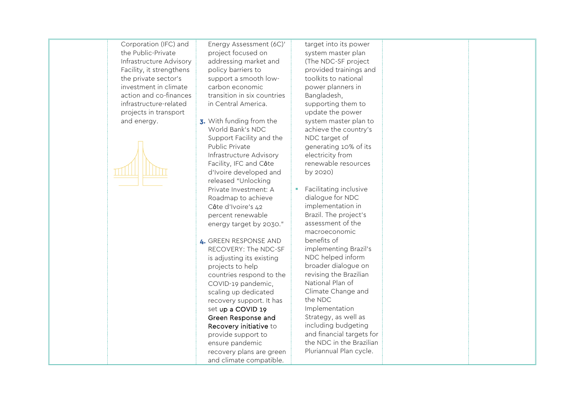Corporation (IFC) and the Public-Private Infrastructure Advisory Facility, it strengthens the private sector's investment in climate action and co-finances infrastructure-related projects in transport and energy.



Energy Assessment (6C)' project focused on addressing market and policy barriers to support a smooth lowcarbon economic transition in six countries in Central America.

- 3. With funding from the World Bank's NDC Support Facility and the Public Private Infrastructure Advisory Facility, IFC and Côte d'Ivoire developed and released "Unlocking Private Investment: A Roadmap to achieve Côte d'Ivoire's 42 percent renewable energy target by 2030."
- 4. GREEN RESPONSE AND RECOVERY: The NDC-SF is adjusting its existing projects to help countries respond to the COVID-19 pandemic, scaling up dedicated recovery support. It has set up a COVID 19 Green Response and Recovery initiative to provide support to ensure pandemic recovery plans are green and climate compatible.

target into its power system master plan (The NDC-SF project provided trainings and toolkits to national power planners in Bangladesh, supporting them to update the power system master plan to achieve the country's NDC target of generating 10% of its electricity from renewable resources by 2020)

 $F$ Facilitating inclusive dialogue for NDC implementation in Brazil. The project's assessment of the macroeconomic benefits of implementing Brazil's NDC helped inform broader dialogue on revising the Brazilian National Plan of Climate Change and the NDC Implementation Strategy, as well as including budgeting and financial targets for the NDC in the Brazilian Pluriannual Plan cycle.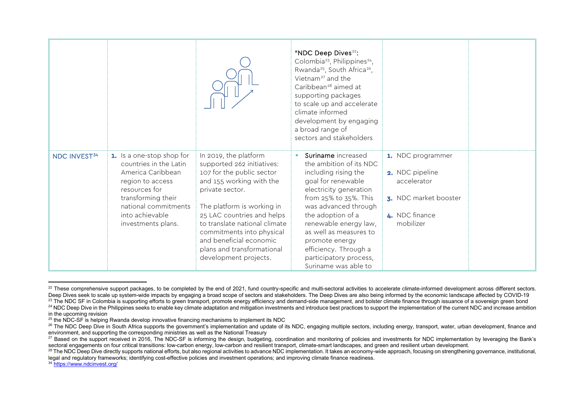<span id="page-22-7"></span><span id="page-22-6"></span><span id="page-22-5"></span><span id="page-22-4"></span><span id="page-22-3"></span><span id="page-22-2"></span><span id="page-22-1"></span><span id="page-22-0"></span>

|                          |                                                                                                                                                                                                      |                                                                                                                                                                                                                                                                                                                                             | "NDC Deep Dives <sup>22</sup> :<br>Colombia <sup>23</sup> , Philippines <sup>24</sup> ,<br>Rwanda <sup>25</sup> , South Africa <sup>26</sup> ,<br>Vietnam <sup>27</sup> and the<br>Caribbean <sup>28</sup> aimed at<br>supporting packages<br>to scale up and accelerate<br>climate informed<br>development by engaging<br>a broad range of<br>sectors and stakeholders |                                                                                                             |  |
|--------------------------|------------------------------------------------------------------------------------------------------------------------------------------------------------------------------------------------------|---------------------------------------------------------------------------------------------------------------------------------------------------------------------------------------------------------------------------------------------------------------------------------------------------------------------------------------------|-------------------------------------------------------------------------------------------------------------------------------------------------------------------------------------------------------------------------------------------------------------------------------------------------------------------------------------------------------------------------|-------------------------------------------------------------------------------------------------------------|--|
| NDC INVEST <sup>34</sup> | 1. Is a one-stop shop for<br>countries in the Latin<br>America Caribbean<br>region to access<br>resources for<br>transforming their<br>national commitments<br>into achievable<br>investments plans. | In 2019, the platform<br>supported 262 initiatives:<br>107 for the public sector<br>and 155 working with the<br>private sector.<br>The platform is working in<br>25 LAC countries and helps<br>to translate national climate<br>commitments into physical<br>and beneficial economic<br>plans and transformational<br>development projects. | Suriname increased<br>the ambition of its NDC<br>including rising the<br>goal for renewable<br>electricity generation<br>from 25% to 35%. This<br>was advanced through<br>the adoption of a<br>renewable energy law,<br>as well as measures to<br>promote energy<br>efficiency. Through a<br>participatory process,<br>Suriname was able to                             | 1. NDC programmer<br>2. NDC pipeline<br>accelerator<br>3. NDC market booster<br>4. NDC finance<br>mobilizer |  |

<sup>&</sup>lt;sup>22</sup> These comprehensive support packages, to be completed by the end of 2021, fund country-specific and multi-sectoral activities to accelerate climate-informed development across different sectors. Deep Dives seek to scale up system-wide impacts by engaging a broad scope of sectors and stakeholders. The Deep Dives are also being informed by the economic landscape affected by COVID-19

<sup>&</sup>lt;sup>23</sup> The NDC SF in Colombia is supporting efforts to green transport, promote energy efficiency and demand-side management, and bolster climate finance through issuance of a sovereign green bond <sup>24</sup> NDC Deep Dive in the Philippines seeks to enable key climate adaptation and mitigation investments and introduce best practices to support the implementation of the current NDC and increase ambition in the upcoming revision

 $25$  the NDC-SF is helping Rwanda develop innovative financing mechanisms to implement its NDC

<sup>&</sup>lt;sup>26</sup> The NDC Deep Dive in South Africa supports the government's implementation and update of its NDC, engaging multiple sectors, including energy, transport, water, urban development, finance and environment, and supporting the corresponding ministries as well as the National Treasury

<sup>&</sup>lt;sup>27</sup> Based on the support received in 2016, The NDC-SF is informing the design, budgeting, coordination and monitoring of policies and investments for NDC implementation by leveraging the Bank's sectoral engagements on fou

<sup>&</sup>lt;sup>28</sup> The NDC Deep Dive directly supports national efforts, but also regional activities to advance NDC implementation. It takes an economy-wide approach, focusing on strengthening governance, institutional, legal and regulatory frameworks; identifying cost-effective policies and investment operations; and improving climate finance readiness.

<sup>34</sup> <https://www.ndcinvest.org/>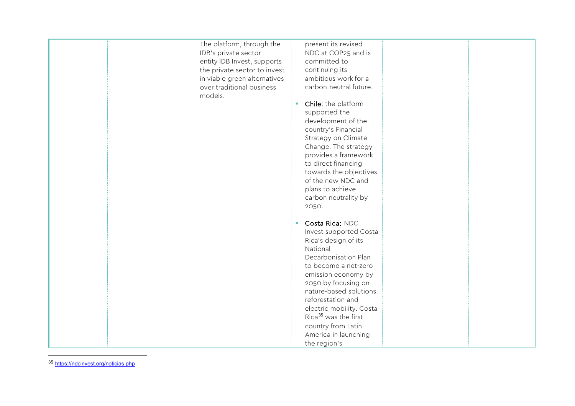<span id="page-23-0"></span>

| The platform, through the    | present its revised              |
|------------------------------|----------------------------------|
| IDB's private sector         | NDC at COP25 and is              |
| entity IDB Invest, supports  | committed to                     |
| the private sector to invest | continuing its                   |
| in viable green alternatives | ambitious work for a             |
| over traditional business    | carbon-neutral future.           |
| models.                      |                                  |
|                              | Chile: the platform<br>ш         |
|                              | supported the                    |
|                              | development of the               |
|                              | country's Financial              |
|                              | Strategy on Climate              |
|                              | Change. The strategy             |
|                              | provides a framework             |
|                              | to direct financing              |
|                              | towards the objectives           |
|                              | of the new NDC and               |
|                              | plans to achieve                 |
|                              | carbon neutrality by             |
|                              |                                  |
|                              | 2050.                            |
|                              | Costa Rica: NDC<br>u.            |
|                              |                                  |
|                              | Invest supported Costa           |
|                              | Rica's design of its             |
|                              | National                         |
|                              | Decarbonisation Plan             |
|                              | to become a net-zero             |
|                              | emission economy by              |
|                              | 2050 by focusing on              |
|                              | nature-based solutions,          |
|                              | reforestation and                |
|                              | electric mobility. Costa         |
|                              | Rica <sup>35</sup> was the first |
|                              | country from Latin               |
|                              | America in launching             |
|                              | the region's                     |

<sup>35</sup> <https://ndcinvest.org/noticias.php>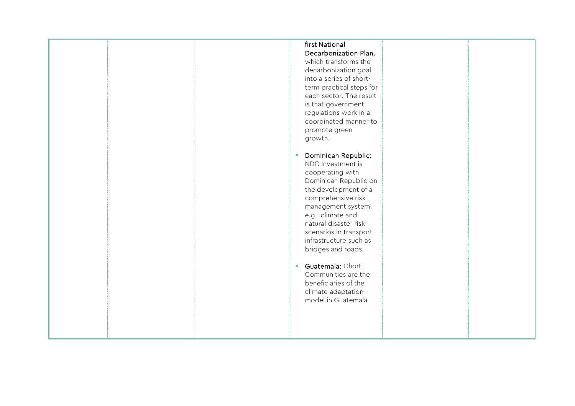# first National Decarbonization Plan,

which transforms the decarbonization goal into a series of shortterm practical steps for each sector. The result is that government regulations work in a coordinated manner to promote green growth.

- **Dominican Republic:** NDC Investment is cooperating with Dominican Republic on the development of a comprehensive risk management system, e.g. climate and natural disaster risk scenarios in transport infrastructure such as bridges and roads.
- **Guatemala: Chorti** Communities are the beneficiaries of the climate adaptation model in Guatemala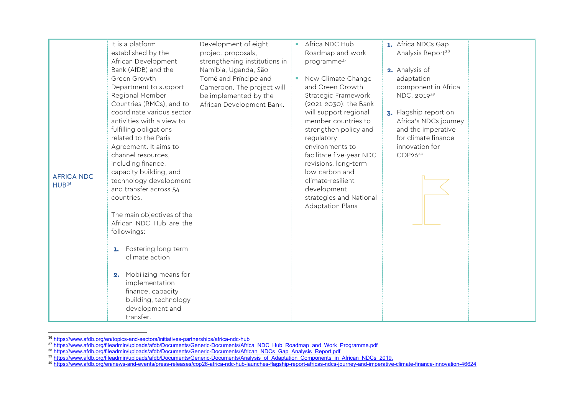<span id="page-25-4"></span><span id="page-25-3"></span><span id="page-25-2"></span><span id="page-25-1"></span><span id="page-25-0"></span>

| <b>AFRICA NDC</b><br>HUB <sup>36</sup> | It is a platform<br>established by the<br>African Development<br>Bank (AfDB) and the<br>Green Growth<br>Department to support<br>Regional Member<br>Countries (RMCs), and to<br>coordinate various sector<br>activities with a view to<br>fulfilling obligations<br>related to the Paris<br>Agreement. It aims to<br>channel resources,<br>including finance,<br>capacity building, and<br>technology development<br>and transfer across 54<br>countries.<br>The main objectives of the<br>African NDC Hub are the<br>followings:<br>1. Fostering long-term<br>climate action<br>Mobilizing means for<br>2. | Development of eight<br>project proposals,<br>strengthening institutions in<br>Namibia, Uganda, São<br>Tomé and Príncipe and<br>Cameroon. The project will<br>be implemented by the<br>African Development Bank. | Africa NDC Hub<br>Roadmap and work<br>programme <sup>37</sup><br>New Climate Change<br>and Green Growth<br>Strategic Framework<br>(2021-2030): the Bank<br>will support regional<br>member countries to<br>strengthen policy and<br>regulatory<br>environments to<br>facilitate five-year NDC<br>revisions, long-term<br>low-carbon and<br>climate-resilient<br>development<br>strategies and National<br><b>Adaptation Plans</b> | 1. Africa NDCs Gap<br>Analysis Report <sup>38</sup><br>2. Analysis of<br>adaptation<br>component in Africa<br>NDC, 2019 <sup>39</sup><br>3. Flagship report on<br>Africa's NDCs journey<br>and the imperative<br>for climate finance<br>innovation for<br>COP2640 |
|----------------------------------------|-------------------------------------------------------------------------------------------------------------------------------------------------------------------------------------------------------------------------------------------------------------------------------------------------------------------------------------------------------------------------------------------------------------------------------------------------------------------------------------------------------------------------------------------------------------------------------------------------------------|------------------------------------------------------------------------------------------------------------------------------------------------------------------------------------------------------------------|-----------------------------------------------------------------------------------------------------------------------------------------------------------------------------------------------------------------------------------------------------------------------------------------------------------------------------------------------------------------------------------------------------------------------------------|-------------------------------------------------------------------------------------------------------------------------------------------------------------------------------------------------------------------------------------------------------------------|
|                                        | implementation -<br>finance, capacity<br>building, technology<br>development and<br>transfer.                                                                                                                                                                                                                                                                                                                                                                                                                                                                                                               |                                                                                                                                                                                                                  |                                                                                                                                                                                                                                                                                                                                                                                                                                   |                                                                                                                                                                                                                                                                   |

<sup>&</sup>lt;sup>36</sup> <u><https://www.afdb.org/en/topics-and-sectors/initiatives-partnerships/africa-ndc-hub></u>

<sup>&</sup>lt;sup>37</sup> [https://www.afdb.org/fileadmin/uploads/afdb/Documents/Generic-Documents/Africa\\_NDC\\_Hub\\_Roadmap\\_and\\_Work\\_Programme.pdf](https://www.afdb.org/fileadmin/uploads/afdb/Documents/Generic-Documents/Africa_NDC_Hub_Roadmap_and_Work_Programme.pdf)

<sup>&</sup>lt;sup>38</sup> [https://www.afdb.org/fileadmin/uploads/afdb/Documents/Generic-Documents/African\\_NDCs\\_Gap\\_Analysis\\_Report.pdf](https://www.afdb.org/fileadmin/uploads/afdb/Documents/Generic-Documents/African_NDCs_Gap_Analysis_Report.pdf)

<sup>&</sup>lt;sup>39</sup> [https://www.afdb.org/fileadmin/uploads/afdb/Documents/Generic-Documents/Analysis\\_of\\_Adaptation\\_Components\\_in\\_African\\_NDCs\\_2019.](https://www.afdb.org/fileadmin/uploads/afdb/Documents/Generic-Documents/Analysis_of_Adaptation_Components_in_African_NDCs_2019.)

<sup>40</sup> <https://www.afdb.org/en/news-and-events/press-releases/cop26-africa-ndc-hub-launches-flagship-report-africas-ndcs-journey-and-imperative-climate-finance-innovation-46624>